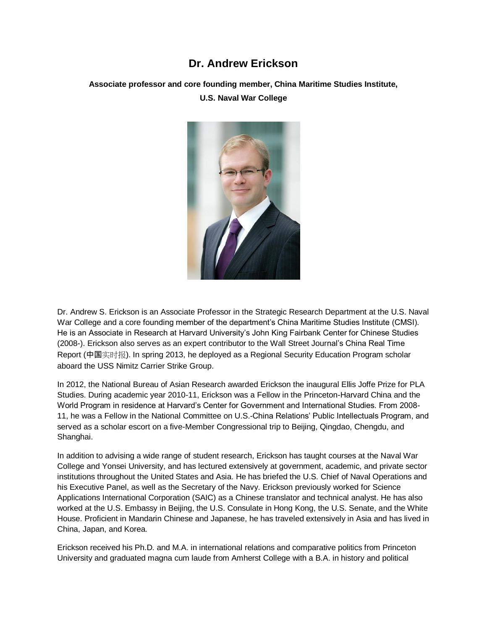## **Dr. Andrew Erickson**

**Associate professor and core founding member, China Maritime Studies Institute,** 

**U.S. Naval War College**



Dr. Andrew S. Erickson is an Associate Professor in the Strategic Research Department at the U.S. Naval War College and a core founding member of the department's China Maritime Studies Institute (CMSI). He is an Associate in Research at Harvard University's John King Fairbank Center for Chinese Studies (2008-). Erickson also serves as an expert contributor to the Wall Street Journal's China Real Time Report (中国实时报). In spring 2013, he deployed as a Regional Security Education Program scholar aboard the USS Nimitz Carrier Strike Group.

In 2012, the National Bureau of Asian Research awarded Erickson the inaugural Ellis Joffe Prize for PLA Studies. During academic year 2010-11, Erickson was a Fellow in the Princeton-Harvard China and the World Program in residence at Harvard's Center for Government and International Studies. From 2008- 11, he was a Fellow in the National Committee on U.S.-China Relations' Public Intellectuals Program, and served as a scholar escort on a five-Member Congressional trip to Beijing, Qingdao, Chengdu, and Shanghai.

In addition to advising a wide range of student research, Erickson has taught courses at the Naval War College and Yonsei University, and has lectured extensively at government, academic, and private sector institutions throughout the United States and Asia. He has briefed the U.S. Chief of Naval Operations and his Executive Panel, as well as the Secretary of the Navy. Erickson previously worked for Science Applications International Corporation (SAIC) as a Chinese translator and technical analyst. He has also worked at the U.S. Embassy in Beijing, the U.S. Consulate in Hong Kong, the U.S. Senate, and the White House. Proficient in Mandarin Chinese and Japanese, he has traveled extensively in Asia and has lived in China, Japan, and Korea.

Erickson received his Ph.D. and M.A. in international relations and comparative politics from Princeton University and graduated magna cum laude from Amherst College with a B.A. in history and political